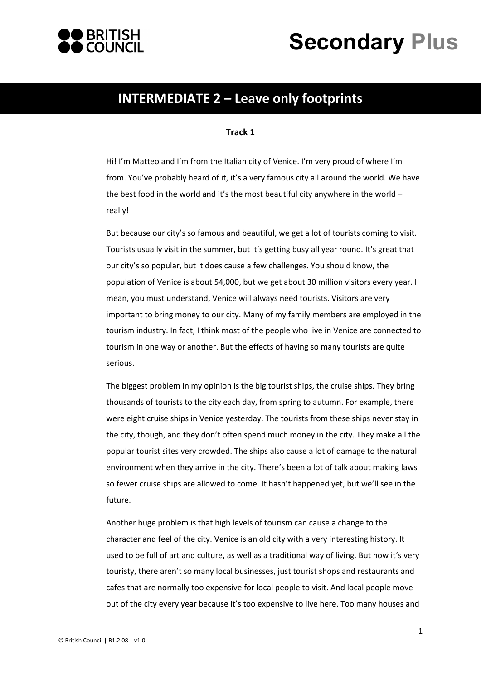



## **INTERMEDIATE 2 – Leave only footprints**

## **Track 1**

Hi! I'm Matteo and I'm from the Italian city of Venice. I'm very proud of where I'm from. You've probably heard of it, it's a very famous city all around the world. We have the best food in the world and it's the most beautiful city anywhere in the world  $$ really!

But because our city's so famous and beautiful, we get a lot of tourists coming to visit. Tourists usually visit in the summer, but it's getting busy all year round. It's great that our city's so popular, but it does cause a few challenges. You should know, the population of Venice is about 54,000, but we get about 30 million visitors every year. I mean, you must understand, Venice will always need tourists. Visitors are very important to bring money to our city. Many of my family members are employed in the tourism industry. In fact, I think most of the people who live in Venice are connected to tourism in one way or another. But the effects of having so many tourists are quite serious.

The biggest problem in my opinion is the big tourist ships, the cruise ships. They bring thousands of tourists to the city each day, from spring to autumn. For example, there were eight cruise ships in Venice yesterday. The tourists from these ships never stay in the city, though, and they don't often spend much money in the city. They make all the popular tourist sites very crowded. The ships also cause a lot of damage to the natural environment when they arrive in the city. There's been a lot of talk about making laws so fewer cruise ships are allowed to come. It hasn't happened yet, but we'll see in the future.

Another huge problem is that high levels of tourism can cause a change to the character and feel of the city. Venice is an old city with a very interesting history. It used to be full of art and culture, as well as a traditional way of living. But now it's very touristy, there aren't so many local businesses, just tourist shops and restaurants and cafes that are normally too expensive for local people to visit. And local people move out of the city every year because it's too expensive to live here. Too many houses and